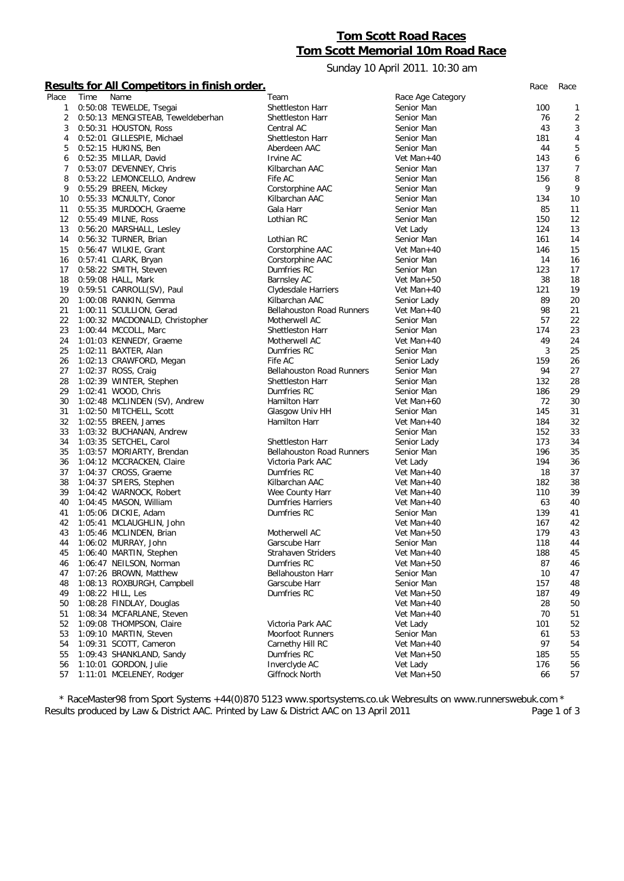## **Tom Scott Road Races Tom Scott Memorial 10m Road Race**

Sunday 10 April 2011. 10:30 am

## **Results for All Competitors in finish order.** *Race Race*

|       |      | <u>Results for All Competitors in Imish order.</u> |                                  |                   | Race | Race           |
|-------|------|----------------------------------------------------|----------------------------------|-------------------|------|----------------|
| Place | Time | Name                                               | Team                             | Race Age Category |      |                |
| 1     |      | 0:50:08 TEWELDE, Tsegai                            | Shettleston Harr                 | Senior Man        | 100  | 1              |
| 2     |      | 0:50:13 MENGISTEAB, Teweldeberhan                  | Shettleston Harr                 | Senior Man        | 76   | $\overline{2}$ |
| 3     |      | 0:50:31 HOUSTON, Ross                              | Central AC                       | Senior Man        | 43   | 3              |
| 4     |      | 0:52:01 GILLESPIE, Michael                         | <b>Shettleston Harr</b>          | Senior Man        | 181  | 4              |
| 5     |      | 0:52:15 HUKINS, Ben                                | Aberdeen AAC                     | Senior Man        | 44   | 5              |
| 6     |      | 0:52:35 MILLAR, David                              | Irvine AC                        | Vet Man+40        | 143  | 6              |
| 7     |      | 0:53:07 DEVENNEY, Chris                            | Kilbarchan AAC                   | Senior Man        | 137  | $\overline{7}$ |
| 8     |      | 0:53:22 LEMONCELLO, Andrew                         | Fife AC                          | Senior Man        | 156  | 8              |
| 9     |      | 0:55:29 BREEN, Mickey                              | Corstorphine AAC                 | Senior Man        | 9    | 9              |
| 10    |      | 0:55:33 MCNULTY, Conor                             | Kilbarchan AAC                   | Senior Man        | 134  | 10             |
| 11    |      | 0:55:35 MURDOCH, Graeme                            | Gala Harr                        | Senior Man        | 85   | 11             |
| 12    |      | 0:55:49 MILNE, Ross                                | Lothian RC                       | Senior Man        | 150  | 12             |
| 13    |      | 0:56:20 MARSHALL, Lesley                           |                                  | Vet Lady          | 124  | 13             |
| 14    |      | 0:56:32 TURNER, Brian                              | Lothian RC                       | Senior Man        | 161  | 14             |
| 15    |      | 0:56:47 WILKIE, Grant                              | Corstorphine AAC                 | Vet Man+40        | 146  | 15             |
| 16    |      | 0:57:41 CLARK, Bryan                               | Corstorphine AAC                 | Senior Man        | 14   | 16             |
| 17    |      | 0:58:22 SMITH, Steven                              | Dumfries RC                      | Senior Man        | 123  | 17             |
| 18    |      | 0:59:08 HALL, Mark                                 | <b>Barnsley AC</b>               | Vet Man+50        | 38   | 18             |
| 19    |      | 0:59:51 CARROLL(SV), Paul                          | Clydesdale Harriers              | Vet Man+40        | 121  | 19             |
| 20    |      | 1:00:08 RANKIN, Gemma                              | Kilbarchan AAC                   | Senior Lady       | 89   | 20             |
| 21    |      | 1:00:11 SCULLION, Gerad                            | <b>Bellahouston Road Runners</b> | Vet Man $+40$     | 98   | 21             |
| 22    |      | 1:00:32 MACDONALD, Christopher                     | Motherwell AC                    | Senior Man        | 57   | 22             |
| 23    |      | 1:00:44 MCCOLL, Marc                               | Shettleston Harr                 | Senior Man        | 174  | 23             |
| 24    |      | 1:01:03 KENNEDY, Graeme                            | Motherwell AC                    | Vet Man+40        | 49   | 24             |
| 25    |      | 1:02:11 BAXTER, Alan                               | Dumfries RC                      | Senior Man        | 3    | 25             |
| 26    |      | 1:02:13 CRAWFORD, Megan                            | Fife AC                          | Senior Lady       | 159  | 26             |
| 27    |      | 1:02:37 ROSS, Craig                                | <b>Bellahouston Road Runners</b> | Senior Man        | 94   | 27             |
| 28    |      | 1:02:39 WINTER, Stephen                            | Shettleston Harr                 | Senior Man        | 132  | 28             |
| 29    |      | 1:02:41 WOOD, Chris                                | Dumfries RC                      | Senior Man        | 186  | 29             |
| 30    |      | 1:02:48 MCLINDEN (SV), Andrew                      | Hamilton Harr                    | Vet Man+60        | 72   | 30             |
| 31    |      | 1:02:50 MITCHELL, Scott                            | Glasgow Univ HH                  | Senior Man        | 145  | 31             |
| 32    |      | 1:02:55 BREEN, James                               | Hamilton Harr                    | Vet Man+40        | 184  | 32             |
| 33    |      | 1:03:32 BUCHANAN, Andrew                           |                                  | Senior Man        | 152  | 33             |
| 34    |      | 1:03:35 SETCHEL, Carol                             | Shettleston Harr                 | Senior Lady       | 173  | 34             |
| 35    |      | 1:03:57 MORIARTY, Brendan                          | <b>Bellahouston Road Runners</b> | Senior Man        | 196  | 35             |
| 36    |      | 1:04:12 MCCRACKEN, Claire                          | Victoria Park AAC                | Vet Lady          | 194  | 36             |
| 37    |      | 1:04:37 CROSS, Graeme                              | Dumfries RC                      | Vet Man+40        | 18   | 37             |
| 38    |      | 1:04:37 SPIERS, Stephen                            | Kilbarchan AAC                   | Vet Man+40        | 182  | 38             |
| 39    |      | 1:04:42 WARNOCK, Robert                            | Wee County Harr                  | Vet Man+40        | 110  | 39             |
| 40    |      | 1:04:45 MASON, William                             | Dumfries Harriers                | Vet Man+40        | 63   | 40             |
| 41    |      | 1:05:06 DICKIE, Adam                               | Dumfries RC                      | Senior Man        | 139  | 41             |
| 42    |      | 1:05:41 MCLAUGHLIN, John                           |                                  | Vet Man+40        | 167  | 42             |
| 43    |      | 1:05:46 MCLINDEN, Brian                            | Motherwell AC                    | Vet Man+50        | 179  | 43             |
| 44    |      | 1:06:02 MURRAY, John                               | Garscube Harr                    | Senior Man        | 118  | 44             |
| 45    |      | 1:06:40 MARTIN, Stephen                            | Strahaven Striders               | Vet Man+40        | 188  | 45             |
| 46    |      | 1:06:47 NEILSON, Norman                            | Dumfries RC                      | Vet Man+50        | 87   | 46             |
| 47    |      | 1:07:26 BROWN, Matthew                             | <b>Bellahouston Harr</b>         | Senior Man        | 10   | 47             |
| 48    |      | 1:08:13 ROXBURGH, Campbell                         | Garscube Harr                    | Senior Man        | 157  | 48             |
| 49    |      | 1:08:22 HILL, Les                                  | Dumfries RC                      | Vet Man+50        | 187  | 49             |
|       |      | 1:08:28 FINDLAY, Douglas                           |                                  |                   | 28   |                |
| 50    |      |                                                    |                                  | Vet Man+40        |      | 50             |
| 51    |      | 1:08:34 MCFARLANE, Steven                          | Victoria Park AAC                | Vet Man+40        | 70   | 51             |
| 52    |      | 1:09:08 THOMPSON, Claire                           |                                  | Vet Lady          | 101  | 52             |
| 53    |      | 1:09:10 MARTIN, Steven                             | <b>Moorfoot Runners</b>          | Senior Man        | 61   | 53             |
| 54    |      | 1:09:31 SCOTT, Cameron                             | Carnethy Hill RC                 | Vet Man+40        | 97   | 54             |
| 55    |      | 1:09:43 SHANKLAND, Sandy                           | Dumfries RC                      | Vet Man+50        | 185  | 55             |
| 56    |      | 1:10:01 GORDON, Julie                              | Inverclyde AC                    | Vet Lady          | 176  | 56             |
| 57    |      | 1:11:01 MCELENEY, Rodger                           | Giffnock North                   | Vet Man+50        | 66   | 57             |

*\* RaceMaster98 from Sport Systems +44(0)870 5123 www.sportsystems.co.uk Webresults on www.runnerswebuk.com \** Results produced by Law & District AAC. Printed by Law & District AAC on 13 April 2011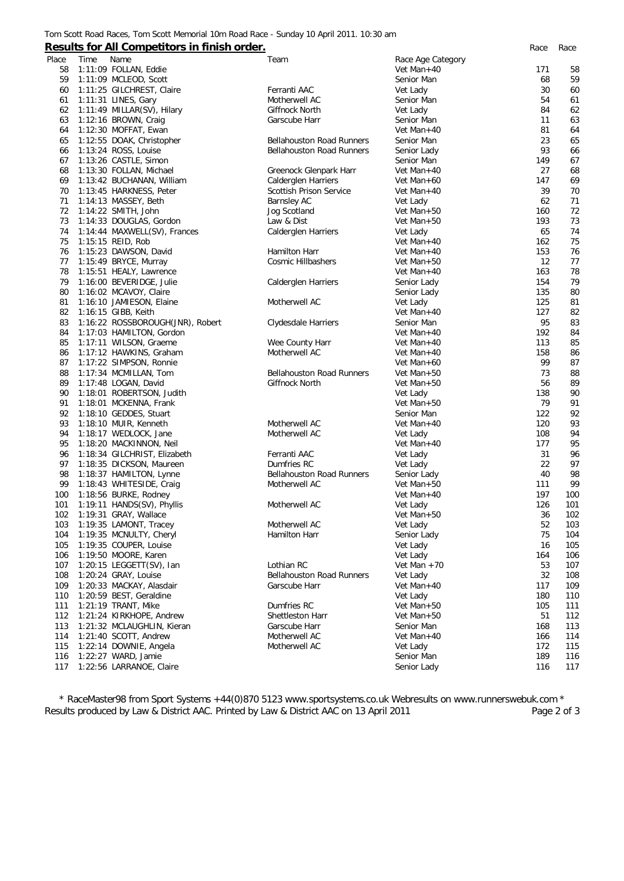## **Results for All Competitors in finish order.** *Race Race*

| Place | Time | Name                                          | Team                             | Race Age Category |     |     |
|-------|------|-----------------------------------------------|----------------------------------|-------------------|-----|-----|
| 58    |      | 1:11:09 FOLLAN, Eddie                         |                                  | Vet Man+40        | 171 | 58  |
| 59    |      | 1:11:09 MCLEOD, Scott                         |                                  | Senior Man        | 68  | 59  |
| 60    |      | 1:11:25 GILCHREST, Claire                     | Ferranti AAC                     | Vet Lady          | 30  | 60  |
| 61    |      | 1:11:31 LINES, Gary                           | Motherwell AC                    | Senior Man        | 54  | 61  |
| 62    |      | 1:11:49 MILLAR(SV), Hilary                    | Giffnock North                   | Vet Lady          | 84  | 62  |
| 63    |      | $1:12:16$ BROWN, Craig                        | Garscube Harr                    | Senior Man        | 11  | 63  |
| 64    |      | 1:12:30 MOFFAT, Ewan                          |                                  | Vet Man+40        | 81  | 64  |
| 65    |      | 1:12:55 DOAK, Christopher                     | <b>Bellahouston Road Runners</b> | Senior Man        | 23  | 65  |
| 66    |      | 1:13:24 ROSS, Louise                          | <b>Bellahouston Road Runners</b> | Senior Lady       | 93  | 66  |
| 67    |      | 1:13:26 CASTLE, Simon                         |                                  | Senior Man        | 149 | 67  |
| 68    |      | 1:13:30 FOLLAN, Michael                       | Greenock Glenpark Harr           | Vet Man+40        | 27  | 68  |
| 69    |      | 1:13:42 BUCHANAN, William                     | <b>Calderglen Harriers</b>       | Vet Man+60        | 147 | 69  |
| 70    |      | 1:13:45 HARKNESS, Peter                       | Scottish Prison Service          | Vet Man+40        | 39  | 70  |
| 71    |      | 1:14:13 MASSEY, Beth                          | <b>Barnsley AC</b>               | Vet Lady          | 62  | 71  |
| 72    |      | 1:14:22 SMITH, John                           | Jog Scotland                     | Vet Man+50        | 160 | 72  |
| 73    |      | 1:14:33 DOUGLAS, Gordon                       | Law & Dist                       | Vet Man+50        | 193 | 73  |
| 74    |      | 1:14:44 MAXWELL(SV), Frances                  | Calderglen Harriers              | Vet Lady          | 65  | 74  |
| 75    |      | 1:15:15 REID, Rob                             |                                  | Vet Man+40        | 162 | 75  |
| 76    |      | 1:15:23 DAWSON, David                         | Hamilton Harr                    | Vet Man+40        | 153 | 76  |
| 77    |      |                                               | <b>Cosmic Hillbashers</b>        |                   | 12  | 77  |
| 78    |      | 1:15:49 BRYCE, Murray                         |                                  | Vet Man+50        | 163 | 78  |
|       |      | 1:15:51 HEALY, Lawrence                       |                                  | Vet Man+40        |     |     |
| 79    |      | 1:16:00 BEVERIDGE, Julie                      | Calderglen Harriers              | Senior Lady       | 154 | 79  |
| 80    |      | 1:16:02 MCAVOY, Claire                        |                                  | Senior Lady       | 135 | 80  |
| 81    |      | 1:16:10 JAMIESON, Elaine                      | Motherwell AC                    | Vet Lady          | 125 | 81  |
| 82    |      | 1:16:15 GIBB, Keith                           |                                  | Vet Man+40        | 127 | 82  |
| 83    |      | 1:16:22 ROSSBOROUGH(JNR), Robert              | Clydesdale Harriers              | Senior Man        | 95  | 83  |
| 84    |      | 1:17:03 HAMILTON, Gordon                      |                                  | Vet Man+40        | 192 | 84  |
| 85    |      | 1:17:11 WILSON, Graeme                        | Wee County Harr                  | Vet Man+40        | 113 | 85  |
| 86    |      | 1:17:12 HAWKINS, Graham                       | Motherwell AC                    | Vet Man+40        | 158 | 86  |
| 87    |      | 1:17:22 SIMPSON, Ronnie                       |                                  | Vet Man+60        | 99  | 87  |
| 88    |      | 1:17:34 MCMILLAN, Tom                         | <b>Bellahouston Road Runners</b> | Vet Man+50        | 73  | 88  |
| 89    |      | 1:17:48 LOGAN, David                          | Giffnock North                   | Vet Man+50        | 56  | 89  |
| 90    |      | 1:18:01 ROBERTSON, Judith                     |                                  | Vet Lady          | 138 | 90  |
| 91    |      | 1:18:01 MCKENNA, Frank                        |                                  | Vet Man+50        | 79  | 91  |
| 92    |      | 1:18:10 GEDDES, Stuart                        |                                  | Senior Man        | 122 | 92  |
| 93    |      | 1:18:10 MUIR, Kenneth                         | Motherwell AC                    | Vet Man+40        | 120 | 93  |
| 94    |      | 1:18:17 WEDLOCK, Jane                         | Motherwell AC                    | Vet Lady          | 108 | 94  |
| 95    |      | 1:18:20 MACKINNON, Neil                       |                                  | Vet Man+40        | 177 | 95  |
| 96    |      | 1:18:34 GILCHRIST, Elizabeth                  | Ferranti AAC                     | Vet Lady          | 31  | 96  |
| 97    |      | 1:18:35 DICKSON, Maureen                      | Dumfries RC                      | Vet Lady          | 22  | 97  |
| 98    |      | 1:18:37 HAMILTON, Lynne                       | <b>Bellahouston Road Runners</b> | Senior Lady       | 40  | 98  |
| 99    |      | 1:18:43 WHITESIDE, Craig                      | Motherwell AC                    | Vet Man+50        | 111 | 99  |
| 100   |      | 1:18:56 BURKE, Rodney                         |                                  | Vet Man+40        | 197 | 100 |
| 101   |      | 1:19:11 HANDS(SV), Phyllis                    | Motherwell AC                    | Vet Lady          | 126 | 101 |
| 102   |      | 1:19:31 GRAY, Wallace                         |                                  | Vet Man $+50$     | 36  | 102 |
| 103   |      | 1:19:35 LAMONT, Tracey                        | Motherwell AC                    | Vet Lady          | 52  | 103 |
| 104   |      | 1:19:35 MCNULTY, Cheryl                       | Hamilton Harr                    | Senior Lady       | 75  | 104 |
| 105   |      | 1:19:35 COUPER, Louise                        |                                  | Vet Lady          | 16  | 105 |
| 106   |      | 1:19:50 MOORE, Karen                          |                                  | Vet Lady          | 164 | 106 |
| 107   |      | 1:20:15 LEGGETT(SV), Ian                      | Lothian RC                       | Vet Man $+70$     | 53  | 107 |
| 108   |      | 1:20:24 GRAY, Louise                          | <b>Bellahouston Road Runners</b> | Vet Lady          | 32  | 108 |
| 109   |      | 1:20:33 MACKAY, Alasdair                      | Garscube Harr                    | Vet Man+40        | 117 | 109 |
| 110   |      | 1:20:59 BEST, Geraldine                       |                                  | Vet Lady          | 180 | 110 |
| 111   |      | 1:21:19 TRANT, Mike                           | Dumfries RC                      | Vet Man+50        | 105 | 111 |
| 112   |      | 1:21:24 KIRKHOPE, Andrew                      | Shettleston Harr                 | Vet Man+50        | 51  | 112 |
| 113   |      | 1:21:32 MCLAUGHLIN, Kieran                    | Garscube Harr                    | Senior Man        | 168 | 113 |
| 114   |      | 1:21:40 SCOTT, Andrew                         | Motherwell AC                    | Vet Man+40        | 166 | 114 |
| 115   |      |                                               | Motherwell AC                    | Vet Lady          | 172 |     |
|       |      | 1:22:14 DOWNIE, Angela<br>1:22:27 WARD, Jamie |                                  |                   |     | 115 |
| 116   |      |                                               |                                  | Senior Man        | 189 | 116 |
| 117   |      | 1:22:56 LARRANOE, Claire                      |                                  | Senior Lady       | 116 | 117 |

*\* RaceMaster98 from Sport Systems +44(0)870 5123 www.sportsystems.co.uk Webresults on www.runnerswebuk.com \** Results produced by Law & District AAC. Printed by Law & District AAC on 13 April 2011